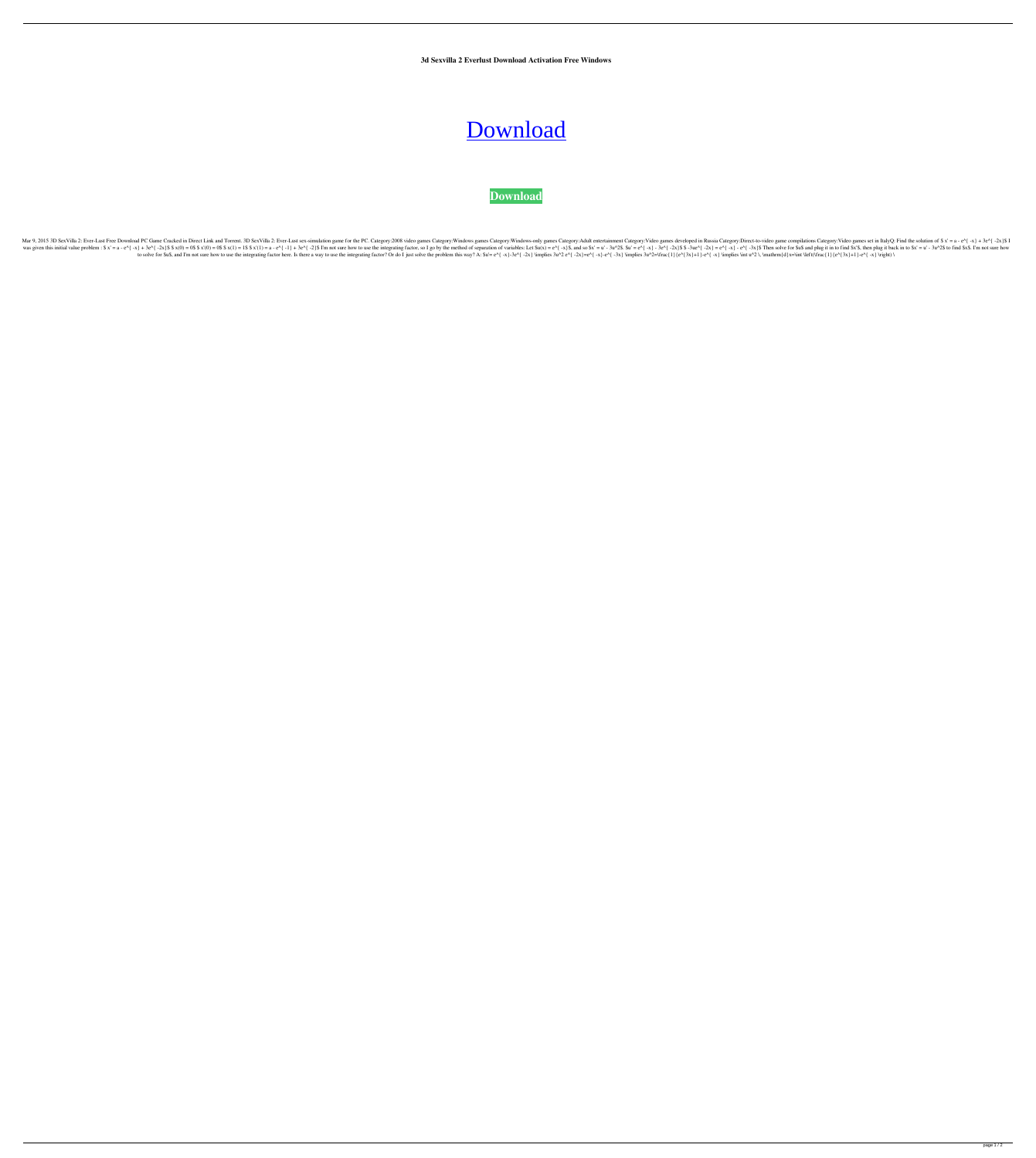**3d Sexvilla 2 Everlust Download Activation Free Windows**

## [Download](http://evacdir.com/chunk?ZG93bmxvYWR8SG84TVdwbWEzeDhNVFkxTWpjME1EZzJObng4TWpVM05IeDhLRTBwSUhKbFlXUXRZbXh2WnlCYlJtRnpkQ0JIUlU1ZA=/cohorts/gamming/eletrick.RG93bmxvYWQgQ3JhY2sgM2QgU2V4dmlsbGEgMiBFdmVybHVzdARG9)

## **[Download](http://evacdir.com/chunk?ZG93bmxvYWR8SG84TVdwbWEzeDhNVFkxTWpjME1EZzJObng4TWpVM05IeDhLRTBwSUhKbFlXUXRZbXh2WnlCYlJtRnpkQ0JIUlU1ZA=/cohorts/gamming/eletrick.RG93bmxvYWQgQ3JhY2sgM2QgU2V4dmlsbGEgMiBFdmVybHVzdARG9)**

Servilla 2: Ever-Lust Free Download PC Game Cracked in Direct Link and Torrent. 3D SexVilla 2: Ever-Lust sex-simulation game for the PC. Category:Windows games Category:Windows-only games Category:Windows-only agames Categ Im not sure integrating factor, so I go by the method of separation of variables: Let Su(x) = e^{ -x} + 3e^{ -2x}\$\$ x(0) = 0\$\$x(1) = a - e^{ -x} - 3e^{ -x}}\$. Then solve for \$3\$ and plug it in to find \$x's, then plug it i I'm not sure how to use the integrating factor here. Is there a way to use the integrating factor? Or do I just solve the problem this way? A: \$u'= e^{ -x}-80^{ -2x} \implies 3u^2 e^{ -x}-80^{ -2x} \implies 3u^2=\frac{1}{e